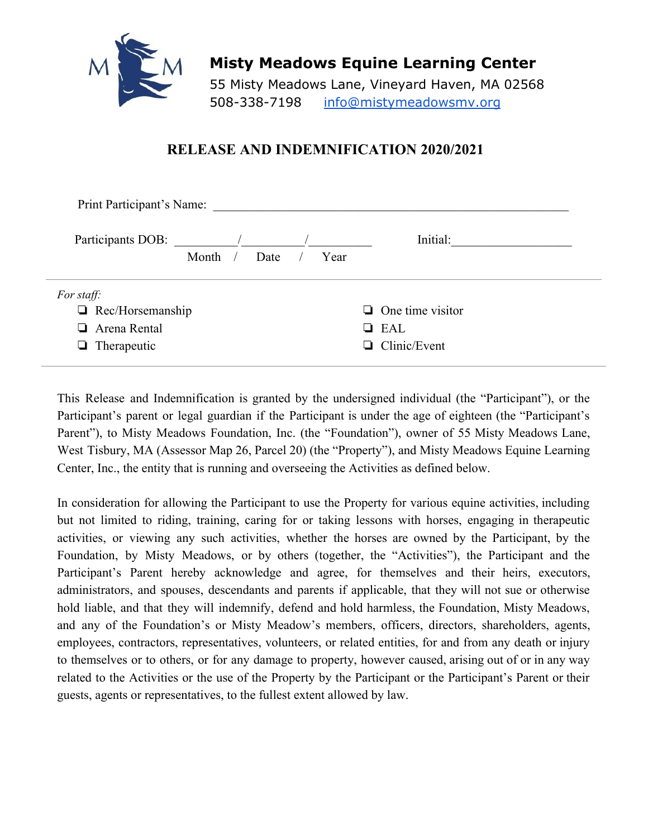

**Misty Meadows Equine Learning Center**

55 Misty Meadows Lane, Vineyard Haven, MA 02568 508-338-7198 info@mistymeadowsmv.org

## **RELEASE AND INDEMNIFICATION 2020/2021**

| Print Participant's Name: |       |      |  |                         |  |                     |
|---------------------------|-------|------|--|-------------------------|--|---------------------|
|                           |       |      |  |                         |  | Initial:            |
|                           | Month | Date |  | Year                    |  |                     |
| For staff:                |       |      |  |                         |  |                     |
| $\Box$ Rec/Horsemanship   |       |      |  | $\Box$ One time visitor |  |                     |
| Arena Rental<br>ப         |       |      |  |                         |  | $\Box$ EAL          |
| $\Box$ Therapeutic        |       |      |  |                         |  | $\Box$ Clinic/Event |
|                           |       |      |  |                         |  |                     |

This Release and Indemnification is granted by the undersigned individual (the "Participant"), or the Participant's parent or legal guardian if the Participant is under the age of eighteen (the "Participant's Parent"), to Misty Meadows Foundation, Inc. (the "Foundation"), owner of 55 Misty Meadows Lane, West Tisbury, MA (Assessor Map 26, Parcel 20) (the "Property"), and Misty Meadows Equine Learning Center, Inc., the entity that is running and overseeing the Activities as defined below.

In consideration for allowing the Participant to use the Property for various equine activities, including but not limited to riding, training, caring for or taking lessons with horses, engaging in therapeutic activities, or viewing any such activities, whether the horses are owned by the Participant, by the Foundation, by Misty Meadows, or by others (together, the "Activities"), the Participant and the Participant's Parent hereby acknowledge and agree, for themselves and their heirs, executors, administrators, and spouses, descendants and parents if applicable, that they will not sue or otherwise hold liable, and that they will indemnify, defend and hold harmless, the Foundation, Misty Meadows, and any of the Foundation's or Misty Meadow's members, officers, directors, shareholders, agents, employees, contractors, representatives, volunteers, or related entities, for and from any death or injury to themselves or to others, or for any damage to property, however caused, arising out of or in any way related to the Activities or the use of the Property by the Participant or the Participant's Parent or their guests, agents or representatives, to the fullest extent allowed by law.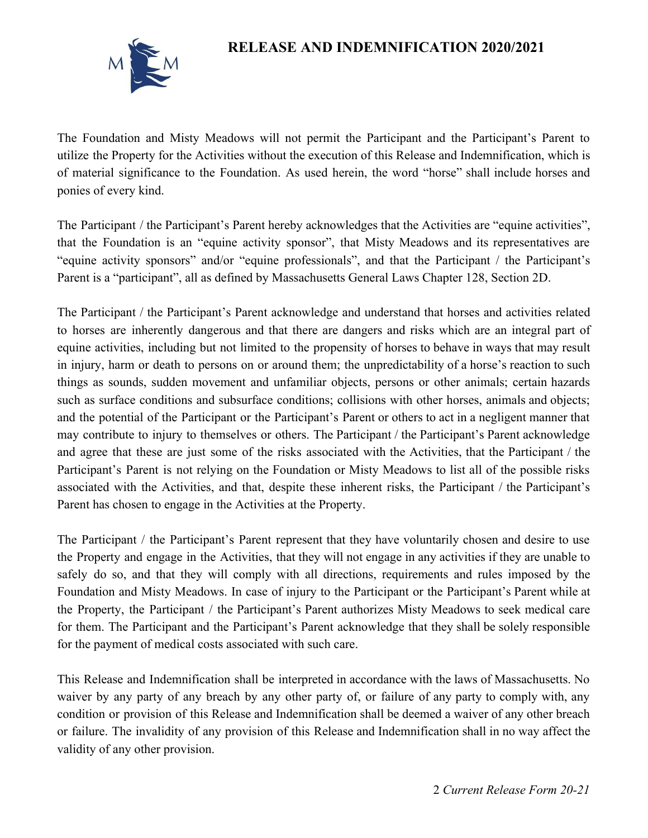## **RELEASE AND INDEMNIFICATION 2020/2021**



The Foundation and Misty Meadows will not permit the Participant and the Participant's Parent to utilize the Property for the Activities without the execution of this Release and Indemnification, which is of material significance to the Foundation. As used herein, the word "horse" shall include horses and ponies of every kind.

The Participant / the Participant's Parent hereby acknowledges that the Activities are "equine activities", that the Foundation is an "equine activity sponsor", that Misty Meadows and its representatives are "equine activity sponsors" and/or "equine professionals", and that the Participant / the Participant's Parent is a "participant", all as defined by Massachusetts General Laws Chapter 128, Section 2D.

The Participant / the Participant's Parent acknowledge and understand that horses and activities related to horses are inherently dangerous and that there are dangers and risks which are an integral part of equine activities, including but not limited to the propensity of horses to behave in ways that may result in injury, harm or death to persons on or around them; the unpredictability of a horse's reaction to such things as sounds, sudden movement and unfamiliar objects, persons or other animals; certain hazards such as surface conditions and subsurface conditions; collisions with other horses, animals and objects; and the potential of the Participant or the Participant's Parent or others to act in a negligent manner that may contribute to injury to themselves or others. The Participant / the Participant's Parent acknowledge and agree that these are just some of the risks associated with the Activities, that the Participant / the Participant's Parent is not relying on the Foundation or Misty Meadows to list all of the possible risks associated with the Activities, and that, despite these inherent risks, the Participant / the Participant's Parent has chosen to engage in the Activities at the Property.

The Participant / the Participant's Parent represent that they have voluntarily chosen and desire to use the Property and engage in the Activities, that they will not engage in any activities if they are unable to safely do so, and that they will comply with all directions, requirements and rules imposed by the Foundation and Misty Meadows. In case of injury to the Participant or the Participant's Parent while at the Property, the Participant / the Participant's Parent authorizes Misty Meadows to seek medical care for them. The Participant and the Participant's Parent acknowledge that they shall be solely responsible for the payment of medical costs associated with such care.

This Release and Indemnification shall be interpreted in accordance with the laws of Massachusetts. No waiver by any party of any breach by any other party of, or failure of any party to comply with, any condition or provision of this Release and Indemnification shall be deemed a waiver of any other breach or failure. The invalidity of any provision of this Release and Indemnification shall in no way affect the validity of any other provision.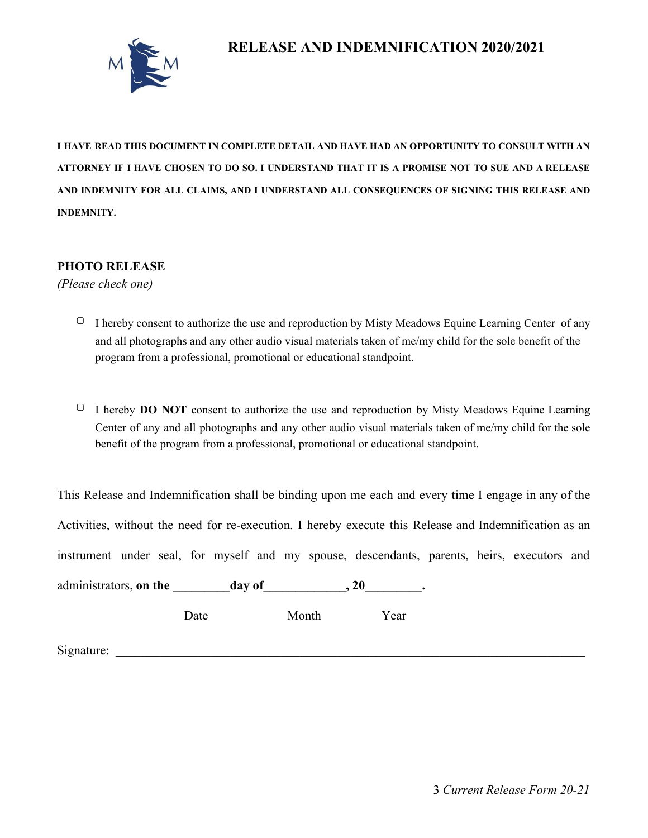



**I HAVE READ THIS DOCUMENT IN COMPLETE DETAIL AND HAVE HAD AN OPPORTUNITY TO CONSULT WITH AN** ATTORNEY IF I HAVE CHOSEN TO DO SO. I UNDERSTAND THAT IT IS A PROMISE NOT TO SUE AND A RELEASE **AND INDEMNITY FOR ALL CLAIMS, AND I UNDERSTAND ALL CONSEQUENCES OF SIGNING THIS RELEASE AND INDEMNITY.**

#### **PHOTO RELEASE**

*(Please check one)*

- $\Box$  I hereby consent to authorize the use and reproduction by Misty Meadows Equine Learning Center of any and all photographs and any other audio visual materials taken of me/my child for the sole benefit of the program from a professional, promotional or educational standpoint.
- ▢ <sup>I</sup> hereby **DO NOT** consent to authorize the use and reproduction by Misty Meadows Equine Learning Center of any and all photographs and any other audio visual materials taken of me/my child for the sole benefit of the program from a professional, promotional or educational standpoint.

| This Release and Indemnification shall be binding upon me each and every time I engage in any of the                                                                                                                                |      |       |      |  |  |
|-------------------------------------------------------------------------------------------------------------------------------------------------------------------------------------------------------------------------------------|------|-------|------|--|--|
| Activities, without the need for re-execution. I hereby execute this Release and Indemnification as an                                                                                                                              |      |       |      |  |  |
| instrument under seal, for myself and my spouse, descendants, parents, heirs, executors and                                                                                                                                         |      |       |      |  |  |
| administrators, <b>on the</b> day of 30 and 320 and 320 and 320 and 320 and 320 and 320 and 320 and 320 and 320 and 320 and 320 and 320 and 320 and 320 and 320 and 320 and 320 and 320 and 320 and 320 and 320 and 320 and 320 and |      |       |      |  |  |
|                                                                                                                                                                                                                                     | Date | Month | Year |  |  |

 $Signature:$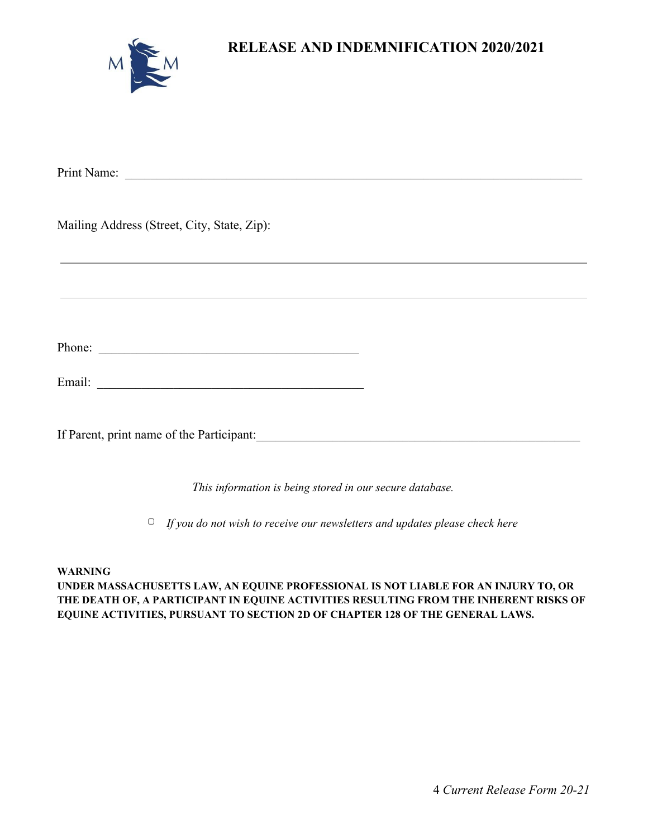| $\checkmark$ | $\sqrt{}$ |
|--------------|-----------|
|              |           |

**RELEASE AND INDEMNIFICATION 2020/2021**

| Mailing Address (Street, City, State, Zip): |  |
|---------------------------------------------|--|
|                                             |  |
|                                             |  |
|                                             |  |
|                                             |  |
| Phone:                                      |  |
|                                             |  |
|                                             |  |
| If Parent, print name of the Participant:   |  |
|                                             |  |

*This information is being stored in our secure database.*

▢ *If you do not wish to receive our newsletters and updates please check here*

#### **WARNING**

**UNDER MASSACHUSETTS LAW, AN EQUINE PROFESSIONAL IS NOT LIABLE FOR AN INJURY TO, OR THE DEATH OF, A PARTICIPANT IN EQUINE ACTIVITIES RESULTING FROM THE INHERENT RISKS OF EQUINE ACTIVITIES, PURSUANT TO SECTION 2D OF CHAPTER 128 OF THE GENERAL LAWS.**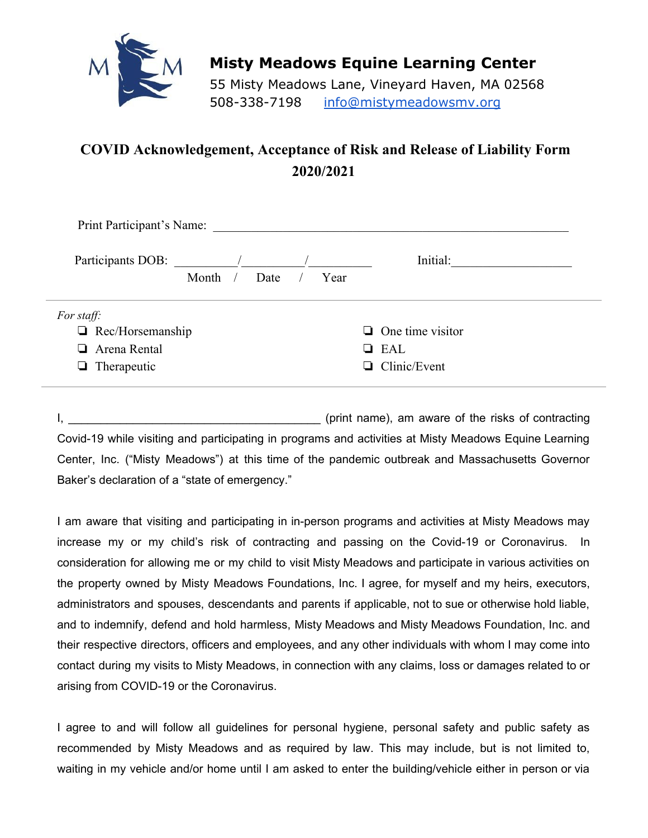

## **Misty Meadows Equine Learning Center**

55 Misty Meadows Lane, Vineyard Haven, MA 02568 508-338-7198 info@mistymeadowsmv.org

# **COVID Acknowledgement, Acceptance of Risk and Release of Liability Form 2020/2021**

| Print Participant's Name:                                                          |       |      |      |                                                              |  |
|------------------------------------------------------------------------------------|-------|------|------|--------------------------------------------------------------|--|
| Participants DOB:                                                                  |       |      |      | Initial:                                                     |  |
|                                                                                    | Month | Date | Year |                                                              |  |
| For staff:<br>$\Box$ Rec/Horsemanship<br>$\Box$ Arena Rental<br>$\Box$ Therapeutic |       |      |      | $\Box$ One time visitor<br>$\Box$ EAL<br>$\Box$ Clinic/Event |  |

I, \_\_\_\_\_\_\_\_\_\_\_\_\_\_\_\_\_\_\_\_\_\_\_\_\_\_\_\_\_\_\_\_\_\_\_\_\_\_\_ (print name), am aware of the risks of contracting Covid-19 while visiting and participating in programs and activities at Misty Meadows Equine Learning Center, Inc. ("Misty Meadows") at this time of the pandemic outbreak and Massachusetts Governor Baker's declaration of a "state of emergency."

I am aware that visiting and participating in in-person programs and activities at Misty Meadows may increase my or my child's risk of contracting and passing on the Covid-19 or Coronavirus. In consideration for allowing me or my child to visit Misty Meadows and participate in various activities on the property owned by Misty Meadows Foundations, Inc. I agree, for myself and my heirs, executors, administrators and spouses, descendants and parents if applicable, not to sue or otherwise hold liable, and to indemnify, defend and hold harmless, Misty Meadows and Misty Meadows Foundation, Inc. and their respective directors, officers and employees, and any other individuals with whom I may come into contact during my visits to Misty Meadows, in connection with any claims, loss or damages related to or arising from COVID-19 or the Coronavirus.

I agree to and will follow all guidelines for personal hygiene, personal safety and public safety as recommended by Misty Meadows and as required by law. This may include, but is not limited to, waiting in my vehicle and/or home until I am asked to enter the building/vehicle either in person or via